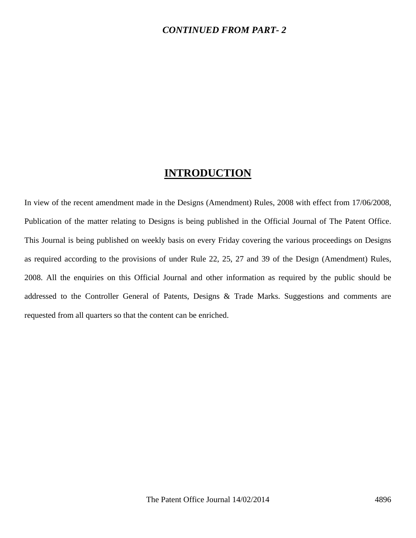#### *CONTINUED FROM PART- 2*

## **INTRODUCTION**

In view of the recent amendment made in the Designs (Amendment) Rules, 2008 with effect from 17/06/2008, Publication of the matter relating to Designs is being published in the Official Journal of The Patent Office. This Journal is being published on weekly basis on every Friday covering the various proceedings on Designs as required according to the provisions of under Rule 22, 25, 27 and 39 of the Design (Amendment) Rules, 2008. All the enquiries on this Official Journal and other information as required by the public should be addressed to the Controller General of Patents, Designs & Trade Marks. Suggestions and comments are requested from all quarters so that the content can be enriched.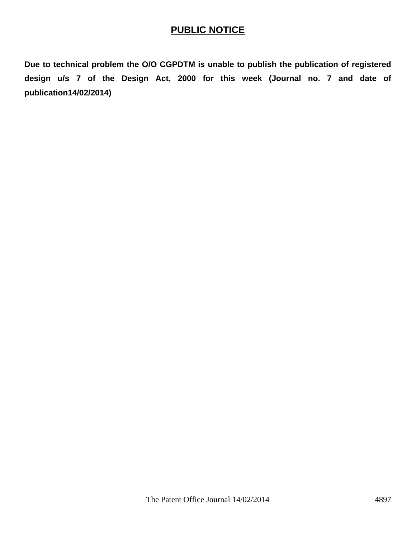## **PUBLIC NOTICE**

**Due to technical problem the O/O CGPDTM is unable to publish the publication of registered design u/s 7 of the Design Act, 2000 for this week (Journal no. 7 and date of publication14/02/2014)**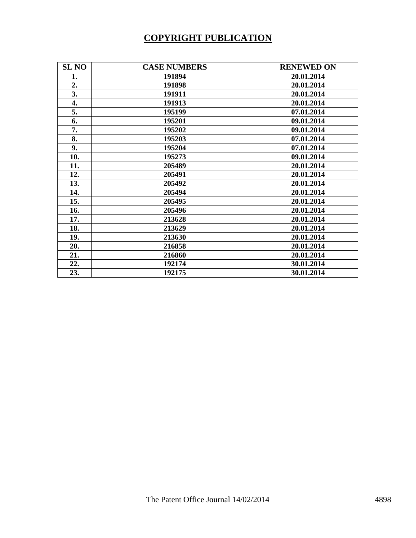# **COPYRIGHT PUBLICATION**

| <b>SL NO</b> | <b>CASE NUMBERS</b> | <b>RENEWED ON</b> |
|--------------|---------------------|-------------------|
| 1.           | 191894              | 20.01.2014        |
| 2.           | 191898              | 20.01.2014        |
| 3.           | 191911              | 20.01.2014        |
| 4.           | 191913              | 20.01.2014        |
| 5.           | 195199              | 07.01.2014        |
| 6.           | 195201              | 09.01.2014        |
| 7.           | 195202              | 09.01.2014        |
| 8.           | 195203              | 07.01.2014        |
| 9.           | 195204              | 07.01.2014        |
| 10.          | 195273              | 09.01.2014        |
| 11.          | 205489              | 20.01.2014        |
| 12.          | 205491              | 20.01.2014        |
| 13.          | 205492              | 20.01.2014        |
| 14.          | 205494              | 20.01.2014        |
| 15.          | 205495              | 20.01.2014        |
| 16.          | 205496              | 20.01.2014        |
| 17.          | 213628              | 20.01.2014        |
| 18.          | 213629              | 20.01.2014        |
| 19.          | 213630              | 20.01.2014        |
| 20.          | 216858              | 20.01.2014        |
| 21.          | 216860              | 20.01.2014        |
| 22.          | 192174              | 30.01.2014        |
| 23.          | 192175              | 30.01.2014        |